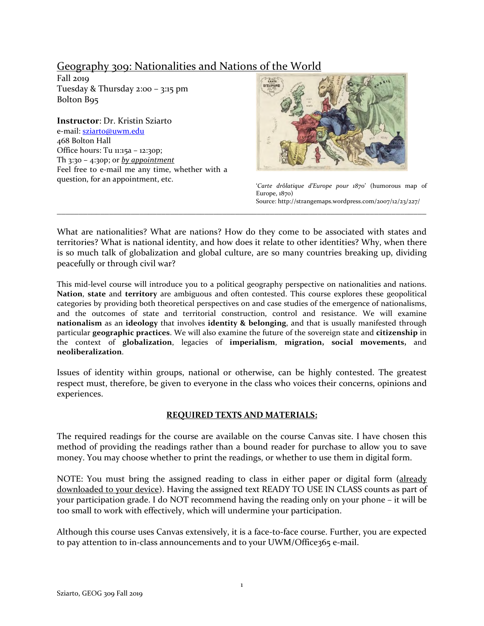# Geography 309: Nationalities and Nations of the World

Fall 2019 Tuesday & Thursday 2:00 – 3:15 pm Bolton B95

**Instructor**: Dr. Kristin Sziarto e-mail[: sziarto@uwm.edu](mailto:sziarto@uwm.edu) 468 Bolton Hall Office hours: Tu 11:15a – 12:30p; Th 3:30 – 4:30p; or *by appointment* Feel free to e-mail me any time, whether with a question, for an appointment, etc. '*Carte drôlatique d'Europe pour 1870*' (humorous map of



Europe, 1870) Source: http://strangemaps.wordpress.com/2007/12/23/227/

What are nationalities? What are nations? How do they come to be associated with states and territories? What is national identity, and how does it relate to other identities? Why, when there is so much talk of globalization and global culture, are so many countries breaking up, dividing peacefully or through civil war?

\_\_\_\_\_\_\_\_\_\_\_\_\_\_\_\_\_\_\_\_\_\_\_\_\_\_\_\_\_\_\_\_\_\_\_\_\_\_\_\_\_\_\_\_\_\_\_\_\_\_\_\_\_\_\_\_\_\_\_\_\_\_\_\_\_\_\_\_\_\_\_\_\_\_\_\_\_\_\_\_\_\_\_\_\_

This mid-level course will introduce you to a political geography perspective on nationalities and nations. **Nation**, **state** and **territory** are ambiguous and often contested. This course explores these geopolitical categories by providing both theoretical perspectives on and case studies of the emergence of nationalisms, and the outcomes of state and territorial construction, control and resistance. We will examine **nationalism** as an **ideology** that involves **identity & belonging**, and that is usually manifested through particular **geographic practices**. We will also examine the future of the sovereign state and **citizenship** in the context of **globalization**, legacies of **imperialism**, **migration, social movements,** and **neoliberalization**.

Issues of identity within groups, national or otherwise, can be highly contested. The greatest respect must, therefore, be given to everyone in the class who voices their concerns, opinions and experiences.

### **REQUIRED TEXTS AND MATERIALS:**

The required readings for the course are available on the course Canvas site. I have chosen this method of providing the readings rather than a bound reader for purchase to allow you to save money. You may choose whether to print the readings, or whether to use them in digital form.

NOTE: You must bring the assigned reading to class in either paper or digital form (already downloaded to your device). Having the assigned text READY TO USE IN CLASS counts as part of your participation grade. I do NOT recommend having the reading only on your phone – it will be too small to work with effectively, which will undermine your participation.

Although this course uses Canvas extensively, it is a face-to-face course. Further, you are expected to pay attention to in-class announcements and to your UWM/Office365 e-mail.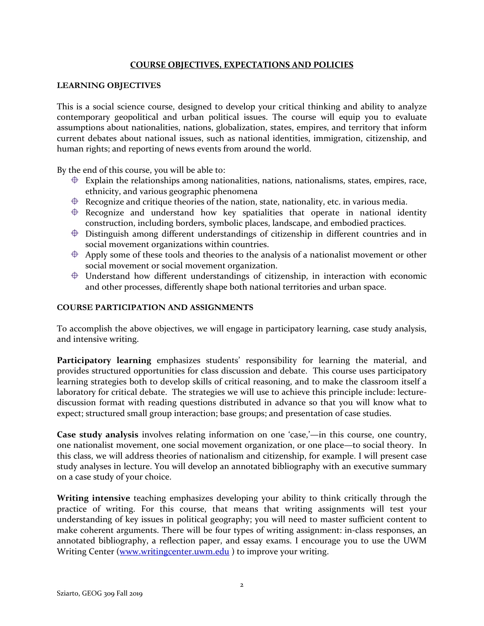### **COURSE OBJECTIVES, EXPECTATIONS AND POLICIES**

### **LEARNING OBJECTIVES**

This is a social science course, designed to develop your critical thinking and ability to analyze contemporary geopolitical and urban political issues. The course will equip you to evaluate assumptions about nationalities, nations, globalization, states, empires, and territory that inform current debates about national issues, such as national identities, immigration, citizenship, and human rights; and reporting of news events from around the world.

By the end of this course, you will be able to:

- $\bigoplus$  Explain the relationships among nationalities, nations, nationalisms, states, empires, race, ethnicity, and various geographic phenomena
- $\triangleq$  Recognize and critique theories of the nation, state, nationality, etc. in various media.
- $\oplus$  Recognize and understand how key spatialities that operate in national identity construction, including borders, symbolic places, landscape, and embodied practices.
- $\oplus$  Distinguish among different understandings of citizenship in different countries and in social movement organizations within countries.
- $\triangleq$  Apply some of these tools and theories to the analysis of a nationalist movement or other social movement or social movement organization.
- $\oplus$  Understand how different understandings of citizenship, in interaction with economic and other processes, differently shape both national territories and urban space.

### **COURSE PARTICIPATION AND ASSIGNMENTS**

To accomplish the above objectives, we will engage in participatory learning, case study analysis, and intensive writing.

**Participatory learning** emphasizes students' responsibility for learning the material, and provides structured opportunities for class discussion and debate. This course uses participatory learning strategies both to develop skills of critical reasoning, and to make the classroom itself a laboratory for critical debate. The strategies we will use to achieve this principle include: lecturediscussion format with reading questions distributed in advance so that you will know what to expect; structured small group interaction; base groups; and presentation of case studies.

**Case study analysis** involves relating information on one 'case,'—in this course, one country, one nationalist movement, one social movement organization, or one place—to social theory. In this class, we will address theories of nationalism and citizenship, for example. I will present case study analyses in lecture. You will develop an annotated bibliography with an executive summary on a case study of your choice.

**Writing intensive** teaching emphasizes developing your ability to think critically through the practice of writing. For this course, that means that writing assignments will test your understanding of key issues in political geography; you will need to master sufficient content to make coherent arguments. There will be four types of writing assignment: in-class responses, an annotated bibliography, a reflection paper, and essay exams. I encourage you to use the UWM Writing Center [\(www.writingcenter.uwm.edu](http://www.writingcenter.uwm.edu/)) to improve your writing.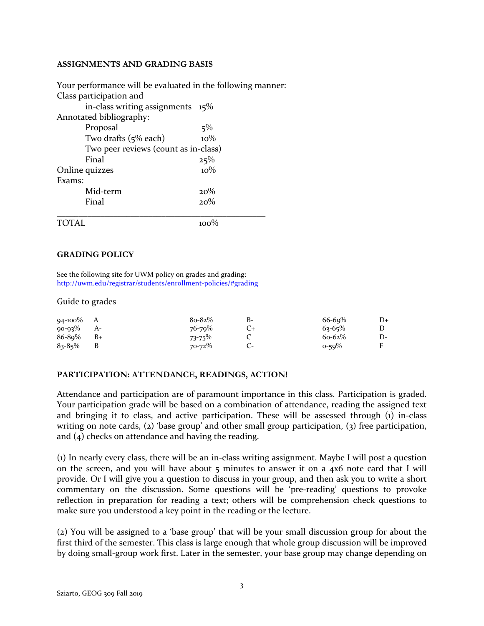#### **ASSIGNMENTS AND GRADING BASIS**

Your performance will be evaluated in the following manner: Class participation and in-class writing assignments 15% Annotated bibliography: Proposal 5% Two drafts  $(5\%$  each)  $10\%$ Two peer reviews (count as in-class) Final  $25\%$ Online quizzes 10% Exams: Mid-term 20% Final  $20\%$ \_\_\_\_\_\_\_\_\_\_\_\_\_\_\_\_\_\_\_\_\_\_\_\_\_\_\_\_\_\_\_\_\_\_\_\_\_\_\_\_\_\_\_\_\_\_\_\_ TOTAL 100%

### **GRADING POLICY**

See the following site for UWM policy on grades and grading: <http://uwm.edu/registrar/students/enrollment-policies/#grading>

#### Guide to grades

| $94-100\%$ A |      | $8o-82%$ | в- | $66 - 69\%$ | $D+$ |
|--------------|------|----------|----|-------------|------|
| $90 - 93\%$  | $A-$ | 76-79%   |    | $63 - 65\%$ |      |
| 86-89%       | $B+$ | 73-75%   |    | $60 - 62\%$ | D-   |
| $83 - 85\%$  |      | 70-72%   |    | $0 - 59\%$  | F    |

#### **PARTICIPATION: ATTENDANCE, READINGS, ACTION!**

Attendance and participation are of paramount importance in this class. Participation is graded. Your participation grade will be based on a combination of attendance, reading the assigned text and bringing it to class, and active participation. These will be assessed through  $(i)$  in-class writing on note cards, (2) 'base group' and other small group participation, (3) free participation, and (4) checks on attendance and having the reading.

(1) In nearly every class, there will be an in-class writing assignment. Maybe I will post a question on the screen, and you will have about 5 minutes to answer it on a 4x6 note card that I will provide. Or I will give you a question to discuss in your group, and then ask you to write a short commentary on the discussion. Some questions will be 'pre-reading' questions to provoke reflection in preparation for reading a text; others will be comprehension check questions to make sure you understood a key point in the reading or the lecture.

(2) You will be assigned to a 'base group' that will be your small discussion group for about the first third of the semester. This class is large enough that whole group discussion will be improved by doing small-group work first. Later in the semester, your base group may change depending on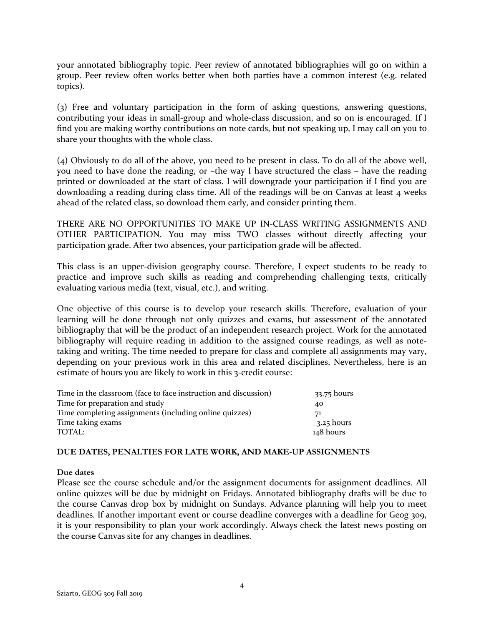your annotated bibliography topic. Peer review of annotated bibliographies will go on within a group. Peer review often works better when both parties have a common interest (e.g. related topics).

(3) Free and voluntary participation in the form of asking questions, answering questions, contributing your ideas in small-group and whole-class discussion, and so on is encouraged. If I find you are making worthy contributions on note cards, but not speaking up, I may call on you to share your thoughts with the whole class.

(4) Obviously to do all of the above, you need to be present in class. To do all of the above well, you need to have done the reading, or –the way I have structured the class – have the reading printed or downloaded at the start of class. I will downgrade your participation if I find you are downloading a reading during class time. All of the readings will be on Canvas at least 4 weeks ahead of the related class, so download them early, and consider printing them.

THERE ARE NO OPPORTUNITIES TO MAKE UP IN-CLASS WRITING ASSIGNMENTS AND OTHER PARTICIPATION. You may miss TWO classes without directly affecting your participation grade. After two absences, your participation grade will be affected.

This class is an upper-division geography course. Therefore, I expect students to be ready to practice and improve such skills as reading and comprehending challenging texts, critically evaluating various media (text, visual, etc.), and writing.

One objective of this course is to develop your research skills. Therefore, evaluation of your learning will be done through not only quizzes and exams, but assessment of the annotated bibliography that will be the product of an independent research project. Work for the annotated bibliography will require reading in addition to the assigned course readings, as well as notetaking and writing. The time needed to prepare for class and complete all assignments may vary, depending on your previous work in this area and related disciplines. Nevertheless, here is an estimate of hours you are likely to work in this 3-credit course:

| Time in the classroom (face to face instruction and discussion) | 33.75 hours |
|-----------------------------------------------------------------|-------------|
| Time for preparation and study                                  | 40          |
| Time completing assignments (including online quizzes)          | 71          |
| Time taking exams                                               | 3.25 hours  |
| TOTAL:                                                          | 148 hours   |
|                                                                 |             |

### **DUE DATES, PENALTIES FOR LATE WORK, AND MAKE-UP ASSIGNMENTS**

### **Due dates**

Please see the course schedule and/or the assignment documents for assignment deadlines. All online quizzes will be due by midnight on Fridays. Annotated bibliography drafts will be due to the course Canvas drop box by midnight on Sundays. Advance planning will help you to meet deadlines. If another important event or course deadline converges with a deadline for Geog 309, it is your responsibility to plan your work accordingly. Always check the latest news posting on the course Canvas site for any changes in deadlines.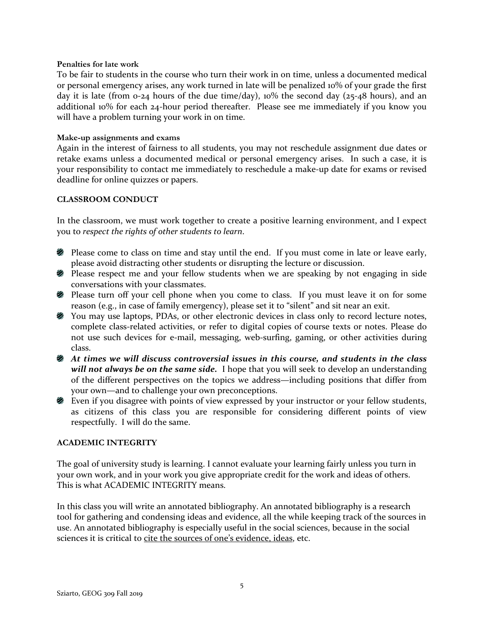#### **Penalties for late work**

To be fair to students in the course who turn their work in on time, unless a documented medical or personal emergency arises, any work turned in late will be penalized 10% of your grade the first day it is late (from 0-24 hours of the due time/day), 10% the second day (25-48 hours), and an additional 10% for each 24-hour period thereafter. Please see me immediately if you know you will have a problem turning your work in on time.

#### **Make-up assignments and exams**

Again in the interest of fairness to all students, you may not reschedule assignment due dates or retake exams unless a documented medical or personal emergency arises. In such a case, it is your responsibility to contact me immediately to reschedule a make-up date for exams or revised deadline for online quizzes or papers.

### **CLASSROOM CONDUCT**

In the classroom, we must work together to create a positive learning environment, and I expect you to *respect the rights of other students to learn*.

- **Please come to class on time and stay until the end.** If you must come in late or leave early, please avoid distracting other students or disrupting the lecture or discussion.
- **2** Please respect me and your fellow students when we are speaking by not engaging in side conversations with your classmates.
- Please turn off your cell phone when you come to class. If you must leave it on for some reason (e.g., in case of family emergency), please set it to "silent" and sit near an exit.
- You may use laptops, PDAs, or other electronic devices in class only to record lecture notes, complete class-related activities, or refer to digital copies of course texts or notes. Please do not use such devices for e-mail, messaging, web-surfing, gaming, or other activities during class.
- *At times we will discuss controversial issues in this course, and students in the class will not always be on the same side.* I hope that you will seek to develop an understanding of the different perspectives on the topics we address—including positions that differ from your own—and to challenge your own preconceptions.
- Even if you disagree with points of view expressed by your instructor or your fellow students, as citizens of this class you are responsible for considering different points of view respectfully. I will do the same.

### **ACADEMIC INTEGRITY**

The goal of university study is learning. I cannot evaluate your learning fairly unless you turn in your own work, and in your work you give appropriate credit for the work and ideas of others. This is what ACADEMIC INTEGRITY means.

In this class you will write an annotated bibliography. An annotated bibliography is a research tool for gathering and condensing ideas and evidence, all the while keeping track of the sources in use. An annotated bibliography is especially useful in the social sciences, because in the social sciences it is critical to cite the sources of one's evidence, ideas, etc.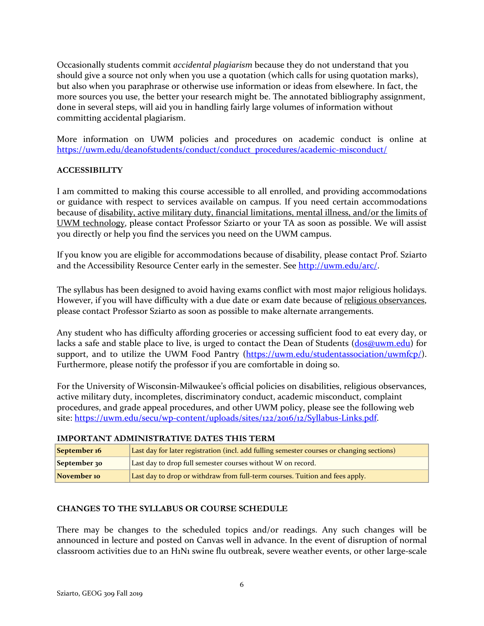Occasionally students commit *accidental plagiarism* because they do not understand that you should give a source not only when you use a quotation (which calls for using quotation marks), but also when you paraphrase or otherwise use information or ideas from elsewhere. In fact, the more sources you use, the better your research might be. The annotated bibliography assignment, done in several steps, will aid you in handling fairly large volumes of information without committing accidental plagiarism.

More information on UWM policies and procedures on academic conduct is online at [https://uwm.edu/deanofstudents/conduct/conduct\\_procedures/academic-misconduct/](https://uwm.edu/deanofstudents/conduct/conduct_procedures/academic-misconduct/) 

### **ACCESSIBILITY**

I am committed to making this course accessible to all enrolled, and providing accommodations or guidance with respect to services available on campus. If you need certain accommodations because of disability, active military duty, financial limitations, mental illness, and/or the limits of UWM technology, please contact Professor Sziarto or your TA as soon as possible. We will assist you directly or help you find the services you need on the UWM campus.

If you know you are eligible for accommodations because of disability, please contact Prof. Sziarto and the Accessibility Resource Center early in the semester. See [http://uwm.edu/arc/.](http://uwm.edu/arc/)

The syllabus has been designed to avoid having exams conflict with most major religious holidays. However, if you will have difficulty with a due date or exam date because of religious observances, please contact Professor Sziarto as soon as possible to make alternate arrangements.

Any student who has difficulty affording groceries or accessing sufficient food to eat every day, or lacks a safe and stable place to live, is urged to contact the Dean of Students [\(dos@uwm.edu\)](mailto:dos@uwm.edu) for support, and to utilize the UWM Food Pantry [\(https://uwm.edu/studentassociation/uwmfcp/\)](https://uwm.edu/studentassociation/uwmfcp/). Furthermore, please notify the professor if you are comfortable in doing so.

For the University of Wisconsin-Milwaukee's official policies on disabilities, religious observances, active military duty, incompletes, discriminatory conduct, academic misconduct, complaint procedures, and grade appeal procedures, and other UWM policy, please see the following web site: [https://uwm.edu/secu/wp-content/uploads/sites/122/2016/12/Syllabus-Links.pdf.](https://uwm.edu/secu/wp-content/uploads/sites/122/2016/12/Syllabus-Links.pdf)

### **IMPORTANT ADMINISTRATIVE DATES THIS TERM**

| September 16 | Last day for later registration (incl. add fulling semester courses or changing sections) |
|--------------|-------------------------------------------------------------------------------------------|
| September 30 | Last day to drop full semester courses without W on record.                               |
| November 10  | Last day to drop or withdraw from full-term courses. Tuition and fees apply.              |

### **CHANGES TO THE SYLLABUS OR COURSE SCHEDULE**

There may be changes to the scheduled topics and/or readings. Any such changes will be announced in lecture and posted on Canvas well in advance. In the event of disruption of normal classroom activities due to an H1N1 swine flu outbreak, severe weather events, or other large-scale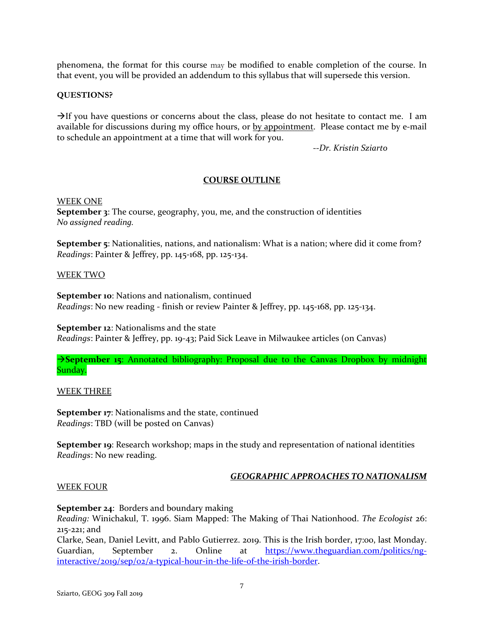phenomena, the format for this course may be modified to enable completion of the course. In that event, you will be provided an addendum to this syllabus that will supersede this version.

### **QUESTIONS?**

 $\rightarrow$  If you have questions or concerns about the class, please do not hesitate to contact me. I am available for discussions during my office hours, or by appointment. Please contact me by e-mail to schedule an appointment at a time that will work for you.

--*Dr. Kristin Sziarto*

### **COURSE OUTLINE**

WEEK ONE

**September 3**: The course, geography, you, me, and the construction of identities *No assigned reading.*

**September 5**: Nationalities, nations, and nationalism: What is a nation; where did it come from? *Readings*: Painter & Jeffrey, pp. 145-168, pp. 125-134.

#### WEEK TWO

**September 10**: Nations and nationalism, continued *Readings*: No new reading - finish or review Painter & Jeffrey, pp. 145-168, pp. 125-134.

**September 12**: Nationalisms and the state *Readings*: Painter & Jeffrey, pp. 19-43; Paid Sick Leave in Milwaukee articles (on Canvas)

**September 15:** Annotated bibliography: Proposal due to the Canvas Dropbox by midnight Sunday.

WEEK THREE

**September 17:** Nationalisms and the state, continued *Readings*: TBD (will be posted on Canvas)

**September 19:** Research workshop; maps in the study and representation of national identities *Readings*: No new reading.

### *GEOGRAPHIC APPROACHES TO NATIONALISM*

### WEEK FOUR

**September 24**: Borders and boundary making

*Reading:* Winichakul, T. 1996. Siam Mapped: The Making of Thai Nationhood. *The Ecologist* 26: 215-221; and

Clarke, Sean, Daniel Levitt, and Pablo Gutierrez. 2019. This is the Irish border, 17:00, last Monday. Guardian, September 2. Online at [https://www.theguardian.com/politics/ng](https://www.theguardian.com/politics/ng-interactive/2019/sep/02/a-typical-hour-in-the-life-of-the-irish-border)[interactive/2019/sep/02/a-typical-hour-in-the-life-of-the-irish-border.](https://www.theguardian.com/politics/ng-interactive/2019/sep/02/a-typical-hour-in-the-life-of-the-irish-border)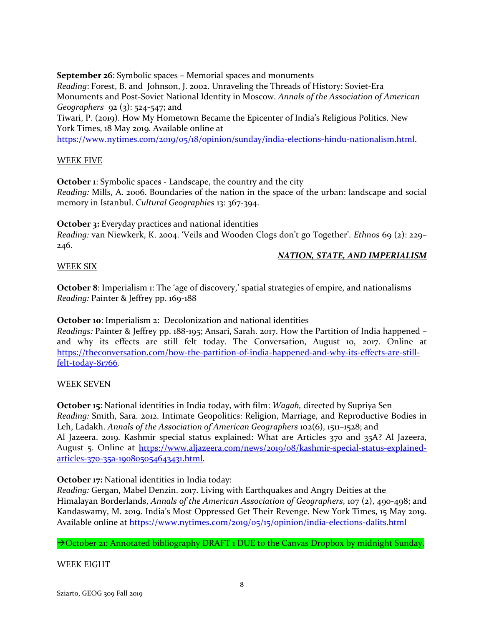**September 26**: Symbolic spaces – Memorial spaces and monuments

*Reading*: Forest, B. and Johnson, J. 2002. Unraveling the Threads of History: Soviet-Era Monuments and Post-Soviet National Identity in Moscow. *Annals of the Association of American Geographers* 92 (3): 524-547; and

Tiwari, P. (2019). How My Hometown Became the Epicenter of India's Religious Politics. New York Times, 18 May 2019. Available online at

[https://www.nytimes.com/2019/05/18/opinion/sunday/india-elections-hindu-nationalism.html.](https://www.nytimes.com/2019/05/18/opinion/sunday/india-elections-hindu-nationalism.html)

### WEEK FIVE

**October 1:** Symbolic spaces - Landscape, the country and the city *Reading:* Mills, A. 2006. Boundaries of the nation in the space of the urban: landscape and social memory in Istanbul. *Cultural Geographies* 13: 367-394.

**October 3:** Everyday practices and national identities

*Reading:* van Niewkerk, K. 2004. 'Veils and Wooden Clogs don't go Together'. *Ethnos* 69 (2): 229– 246.

### *NATION, STATE, AND IMPERIALISM*

### WEEK SIX

**October 8**: Imperialism 1: The 'age of discovery,' spatial strategies of empire, and nationalisms *Reading:* Painter & Jeffrey pp. 169-188

**October 10:** Imperialism 2: Decolonization and national identities

*Readings:* Painter & Jeffrey pp. 188-195; Ansari, Sarah. 2017. How the Partition of India happened – and why its effects are still felt today. The Conversation, August 10, 2017. Online at [https://theconversation.com/how-the-partition-of-india-happened-and-why-its-effects-are-still](https://theconversation.com/how-the-partition-of-india-happened-and-why-its-effects-are-still-felt-today-81766)[felt-today-81766.](https://theconversation.com/how-the-partition-of-india-happened-and-why-its-effects-are-still-felt-today-81766)

### WEEK SEVEN

**October 15**: National identities in India today, with film: *Wagah,* directed by Supriya Sen *Reading:* Smith, Sara. 2012. Intimate Geopolitics: Religion, Marriage, and Reproductive Bodies in Leh, Ladakh. *Annals of the Association of American Geographers* 102(6), 1511–1528; and Al Jazeera. 2019. Kashmir special status explained: What are Articles 370 and 35A? Al Jazeera, August 5. Online at [https://www.aljazeera.com/news/2019/08/kashmir-special-status-explained](https://www.aljazeera.com/news/2019/08/kashmir-special-status-explained-articles-370-35a-190805054643431.html)[articles-370-35a-190805054643431.html.](https://www.aljazeera.com/news/2019/08/kashmir-special-status-explained-articles-370-35a-190805054643431.html)

**October 17:** National identities in India today:

*Reading:* Gergan, Mabel Denzin. 2017. Living with Earthquakes and Angry Deities at the Himalayan Borderlands, *Annals of the American Association of Geographers*, 107 (2), 490-498; and Kandaswamy, M. 2019. India's Most Oppressed Get Their Revenge. New York Times, 15 May 2019. Available online at<https://www.nytimes.com/2019/05/15/opinion/india-elections-dalits.html>

## $\rightarrow$  October 21: Annotated bibliography DRAFT 1 DUE to the Canvas Dropbox by midnight Sunday.

WEEK EIGHT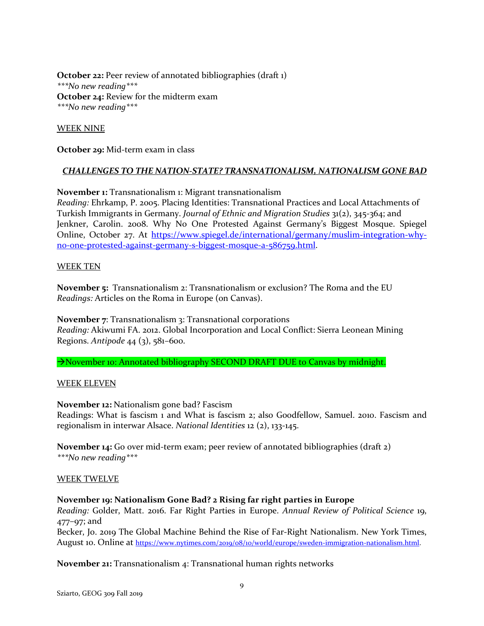**October 22:** Peer review of annotated bibliographies (draft 1) *\*\*\*No new reading\*\*\** **October 24: Review for the midterm exam** *\*\*\*No new reading\*\*\**

### WEEK NINE

**October 29:** Mid-term exam in class

### *CHALLENGES TO THE NATION-STATE? TRANSNATIONALISM, NATIONALISM GONE BAD*

**November 1:** Transnationalism 1: Migrant transnationalism

*Reading:* Ehrkamp, P. 2005. Placing Identities: Transnational Practices and Local Attachments of Turkish Immigrants in Germany. *Journal of Ethnic and Migration Studies* 31(2), 345-364; and Jenkner, Carolin. 2008. Why No One Protested Against Germany's Biggest Mosque. Spiegel Online, October 27. At [https://www.spiegel.de/international/germany/muslim-integration-why](https://www.spiegel.de/international/germany/muslim-integration-why-no-one-protested-against-germany-s-biggest-mosque-a-586759.html)[no-one-protested-against-germany-s-biggest-mosque-a-586759.html.](https://www.spiegel.de/international/germany/muslim-integration-why-no-one-protested-against-germany-s-biggest-mosque-a-586759.html)

### WEEK TEN

**November 5:** Transnationalism 2: Transnationalism or exclusion? The Roma and the EU *Readings:* Articles on the Roma in Europe (on Canvas).

**November 7:** Transnationalism 3: Transnational corporations *Reading:* Akiwumi FA. 2012. Global Incorporation and Local Conflict: Sierra Leonean Mining Regions. *Antipode* 44 (3), 581–600.

November 10: Annotated bibliography SECOND DRAFT DUE to Canvas by midnight.

### WEEK ELEVEN

**November 12:** Nationalism gone bad? Fascism Readings: What is fascism 1 and What is fascism 2; also Goodfellow, Samuel. 2010. Fascism and regionalism in interwar Alsace. *National Identities* 12 (2), 133-145.

**November 14:** Go over mid-term exam; peer review of annotated bibliographies (draft 2) *\*\*\*No new reading\*\*\**

### WEEK TWELVE

### **November 19: Nationalism Gone Bad? 2 Rising far right parties in Europe**

*Reading:* Golder, Matt. 2016. Far Right Parties in Europe. *Annual Review of Political Science* 19, 477–97; and

Becker, Jo. 2019 The Global Machine Behind the Rise of Far-Right Nationalism. New York Times, August 10. Online at https://www.nytimes.com/2019/08/10/world/europe/sweden-immigration-nationalism.html.

**November 21:** Transnationalism 4: Transnational human rights networks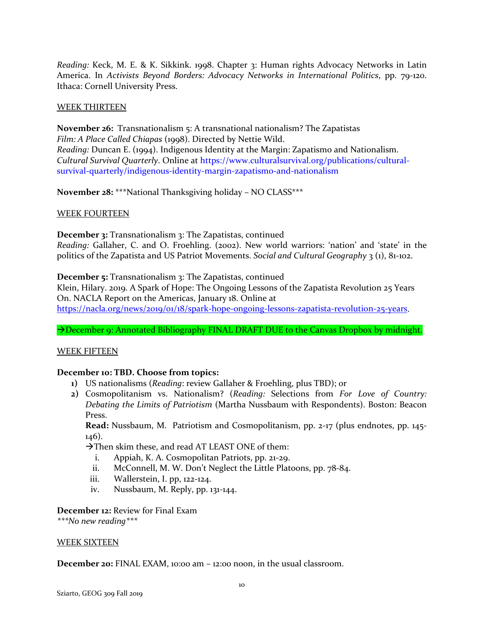*Reading:* Keck, M. E. & K. Sikkink. 1998. Chapter 3: Human rights Advocacy Networks in Latin America. In *Activists Beyond Borders: Advocacy Networks in International Politics*, pp. 79-120. Ithaca: Cornell University Press.

### WEEK THIRTEEN

**November 26:** Transnationalism 5: A transnational nationalism? The Zapatistas *Film: A Place Called Chiapas* (1998). Directed by Nettie Wild. *Reading:* Duncan E. (1994). Indigenous Identity at the Margin: Zapatismo and Nationalism. *Cultural Survival Quarterly*. Online at [https://www.culturalsurvival.org/publications/cultural](https://www.culturalsurvival.org/publications/cultural-survival-quarterly/indigenous-identity-margin-zapatismo-and-nationalism)[survival-quarterly/indigenous-identity-margin-zapatismo-and-nationalism](https://www.culturalsurvival.org/publications/cultural-survival-quarterly/indigenous-identity-margin-zapatismo-and-nationalism)

**November 28:** \*\*\*National Thanksgiving holiday – NO CLASS\*\*\*

### WEEK FOURTEEN

**December 3:** Transnationalism 3: The Zapatistas, continued *Reading:* Gallaher, C. and O. Froehling. (2002). New world warriors: 'nation' and 'state' in the politics of the Zapatista and US Patriot Movements. *Social and Cultural Geography* 3 (1), 81-102.

**December 5:** Transnationalism 3: The Zapatistas, continued

Klein, Hilary. 2019. A Spark of Hope: The Ongoing Lessons of the Zapatista Revolution 25 Years On. NACLA Report on the Americas, January 18. Online at [https://nacla.org/news/2019/01/18/spark-hope-ongoing-lessons-zapatista-revolution-25-years.](https://nacla.org/news/2019/01/18/spark-hope-ongoing-lessons-zapatista-revolution-25-years)

→ December 9: Annotated Bibliography FINAL DRAFT DUE to the Canvas Dropbox by midnight.

### WEEK FIFTEEN

### **December 10: TBD. Choose from topics:**

- **1)** US nationalisms (*Reading*: review Gallaher & Froehling, plus TBD); or
- **2)** Cosmopolitanism vs. Nationalism? (*Reading:* Selections from *For Love of Country: Debating the Limits of Patriotism* (Martha Nussbaum with Respondents). Boston: Beacon Press.

**Read:** Nussbaum, M. Patriotism and Cosmopolitanism, pp. 2-17 (plus endnotes, pp. 145- 146).

 $\rightarrow$ Then skim these, and read AT LEAST ONE of them:

- i. Appiah, K. A. Cosmopolitan Patriots, pp. 21-29.
- ii. McConnell, M. W. Don't Neglect the Little Platoons, pp. 78-84.
- iii. Wallerstein, I. pp, 122-124.
- iv. Nussbaum, M. Reply, pp. 131-144.

**December 12:** Review for Final Exam

*\*\*\*No new reading\*\*\**

### WEEK SIXTEEN

**December 20:** FINAL EXAM, 10:00 am – 12:00 noon, in the usual classroom.